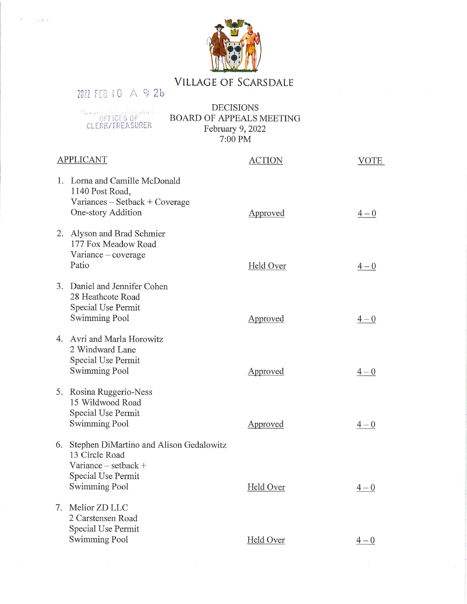

## **VILLAGE OF SCARSDALE**

**DECISIONS** ALCORATORS OF CLERK/TREASURER BOARD OF APPEALS MEETING February 9, 2022<br>7:00 PM

7022 FEB 10 A 9 26

 $\omega \geq -1$ 

| <b>APPLICANT</b> |                                                                                                                                        | <b>ACTION</b> | <b>VOTE</b> |
|------------------|----------------------------------------------------------------------------------------------------------------------------------------|---------------|-------------|
|                  | 1. Lorna and Camille McDonald<br>1140 Post Road,<br>Variances – Setback + Coverage<br>One-story Addition                               | Approved      | $4 - 0$     |
| 2.               | Alyson and Brad Schmier<br>177 Fox Meadow Road<br>$Variance - coverage$<br>Patio                                                       | Held Over     | $4 - 0$     |
|                  | 3. Daniel and Jennifer Cohen<br>28 Heathcote Road<br>Special Use Permit<br><b>Swimming Pool</b>                                        | Approved      | $4 - 0$     |
|                  | 4. Avri and Marla Horowitz<br>2 Windward Lane<br><b>Special Use Permit</b><br><b>Swimming Pool</b>                                     | Approved      | $4 - 0$     |
|                  | 5. Rosina Ruggerio-Ness<br>15 Wildwood Road<br>Special Use Permit<br><b>Swimming Pool</b>                                              | Approved      | $4 - 0$     |
|                  | 6. Stephen DiMartino and Alison Gedalowitz<br>13 Circle Road<br>Variance $-$ setback $+$<br>Special Use Permit<br><b>Swimming Pool</b> | Held Over     | $4 - 0$     |
|                  | 7. Melior ZD LLC<br>2 Carstensen Road<br>Special Use Permit<br>Swimming Pool                                                           | Held Over     | $4 - 0$     |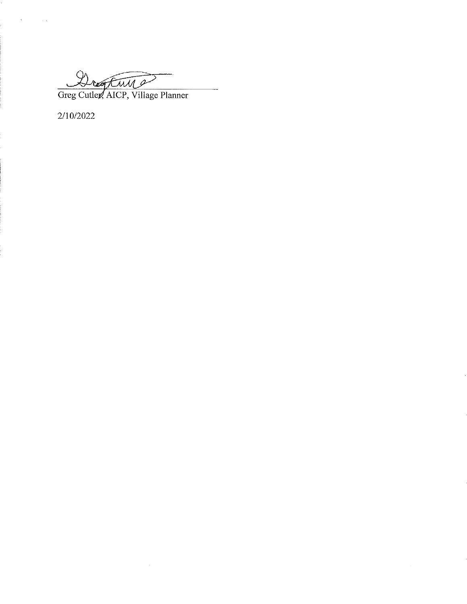$7/11$ 

Greg Cutler, AICP, Village Planner

 $\bar{z}$ 

 $2/10/2022$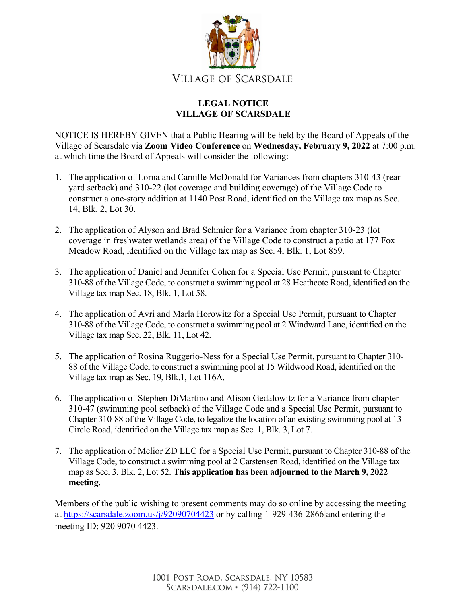

## **LEGAL NOTICE VILLAGE OF SCARSDALE**

NOTICE IS HEREBY GIVEN that a Public Hearing will be held by the Board of Appeals of the Village of Scarsdale via **Zoom Video Conference** on **Wednesday, February 9, 2022** at 7:00 p.m. at which time the Board of Appeals will consider the following:

- 1. The application of Lorna and Camille McDonald for Variances from chapters 310-43 (rear yard setback) and 310-22 (lot coverage and building coverage) of the Village Code to construct a one-story addition at 1140 Post Road, identified on the Village tax map as Sec. 14, Blk. 2, Lot 30.
- 2. The application of Alyson and Brad Schmier for a Variance from chapter 310-23 (lot coverage in freshwater wetlands area) of the Village Code to construct a patio at 177 Fox Meadow Road, identified on the Village tax map as Sec. 4, Blk. 1, Lot 859.
- 3. The application of Daniel and Jennifer Cohen for a Special Use Permit, pursuant to Chapter 310-88 of the Village Code, to construct a swimming pool at 28 Heathcote Road, identified on the Village tax map Sec. 18, Blk. 1, Lot 58.
- 4. The application of Avri and Marla Horowitz for a Special Use Permit, pursuant to Chapter 310-88 of the Village Code, to construct a swimming pool at 2 Windward Lane, identified on the Village tax map Sec. 22, Blk. 11, Lot 42.
- 5. The application of Rosina Ruggerio-Ness for a Special Use Permit, pursuant to Chapter 310- 88 of the Village Code, to construct a swimming pool at 15 Wildwood Road, identified on the Village tax map as Sec. 19, Blk.1, Lot 116A.
- 6. The application of Stephen DiMartino and Alison Gedalowitz for a Variance from chapter 310-47 (swimming pool setback) of the Village Code and a Special Use Permit, pursuant to Chapter 310-88 of the Village Code, to legalize the location of an existing swimming pool at 13 Circle Road, identified on the Village tax map as Sec. 1, Blk. 3, Lot 7.
- 7. The application of Melior ZD LLC for a Special Use Permit, pursuant to Chapter 310-88 of the Village Code, to construct a swimming pool at 2 Carstensen Road, identified on the Village tax map as Sec. 3, Blk. 2, Lot 52. **This application has been adjourned to the March 9, 2022 meeting.**

Members of the public wishing to present comments may do so online by accessing the meeting at<https://scarsdale.zoom.us/j/92090704423> or by calling 1-929-436-2866 and entering the meeting ID: 920 9070 4423.